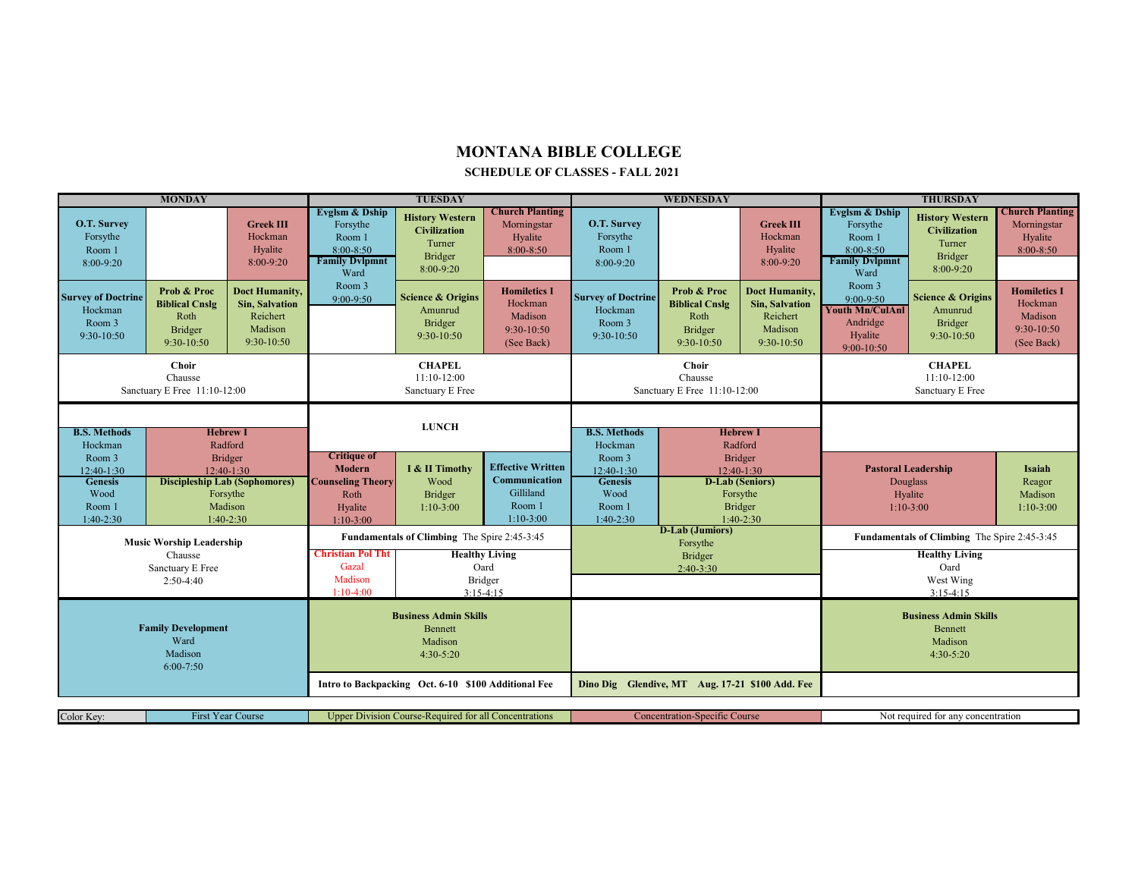## **MONTANA BIBLE COLLEGE**

## **SCHEDULE OF CLASSES - FALL 2021**

| <b>MONDAY</b>                                                             |                                                                                      |                                                                              | <b>TUESDAY</b>                                                                                    |                                                                                        |                                                                                 | WEDNESDAY                                                               |                                                                         |                                                                                              | <b>THURSDAY</b>                                                                                   |                                                                                        |                                                                       |
|---------------------------------------------------------------------------|--------------------------------------------------------------------------------------|------------------------------------------------------------------------------|---------------------------------------------------------------------------------------------------|----------------------------------------------------------------------------------------|---------------------------------------------------------------------------------|-------------------------------------------------------------------------|-------------------------------------------------------------------------|----------------------------------------------------------------------------------------------|---------------------------------------------------------------------------------------------------|----------------------------------------------------------------------------------------|-----------------------------------------------------------------------|
| O.T. Survey<br>Forsythe<br>Room 1<br>$8:00-9:20$                          |                                                                                      | <b>Greek III</b><br>Hockman<br>Hyalite<br>8:00-9:20                          | Evglsm & Dship<br>Forsythe<br>Room 1<br>$8:00 - 8:50$<br><b>Family Dylpmnt</b><br>Ward            | <b>History Western</b><br><b>Civilization</b><br>Turner<br><b>Bridger</b><br>8:00-9:20 | <b>Church Planting</b><br>Morningstar<br>Hyalite<br>$8:00 - 8:50$               | O.T. Survey<br>Forsythe<br>Room 1<br>$8:00-9:20$                        |                                                                         | <b>Greek III</b><br>Hockman<br>Hyalite<br>8:00-9:20                                          | <b>Evglsm &amp; Dship</b><br>Forsythe<br>Room 1<br>$8:00 - 8:50$<br><b>Family Dvlpmnt</b><br>Ward | <b>History Western</b><br><b>Civilization</b><br>Turner<br><b>Bridger</b><br>8:00-9:20 | <b>Church Planting</b><br>Morningstar<br>Hyalite<br>8:00-8:50         |
| <b>Survey of Doctrine</b><br>Hockman<br>Room 3<br>9:30-10:50              | <b>Prob &amp; Proc</b><br><b>Biblical Cnslg</b><br>Roth<br>Bridger<br>9:30-10:50     | <b>Doct Humanity,</b><br>Sin, Salvation<br>Reichert<br>Madison<br>9:30-10:50 | Room 3<br>$9:00-9:50$                                                                             | <b>Science &amp; Origins</b><br>Amunrud<br>Bridger<br>9:30-10:50                       | <b>Homiletics I</b><br>Hockman<br>Madison<br>$9:30-10:50$<br>(See Back)         | <b>Survey of Doctrine</b><br>Hockman<br>Room 3<br>$9:30-10:50$          | Prob & Proc<br><b>Biblical Cnslg</b><br>Roth<br>Bridger<br>$9:30-10:50$ | Doct Humanity,<br><b>Sin, Salvation</b><br>Reichert<br>Madison<br>9:30-10:50                 | Room 3<br>9:00-9:50<br><b>Youth Mn/CulAnl</b><br>Andridge<br>Hyalite<br>9:00-10:50                | <b>Science &amp; Origins</b><br>Amunrud<br><b>Bridger</b><br>9:30-10:50                | <b>Homiletics I</b><br>Hockman<br>Madison<br>9:30-10:50<br>(See Back) |
| Choir<br>Chausse<br>Sanctuary E Free 11:10-12:00                          |                                                                                      |                                                                              | <b>CHAPEL</b><br>11:10-12:00<br>Sanctuary E Free                                                  |                                                                                        | Choir<br>Chausse<br>Sanctuary E Free 11:10-12:00                                |                                                                         | <b>CHAPEL</b><br>11:10-12:00<br>Sanctuary E Free                        |                                                                                              |                                                                                                   |                                                                                        |                                                                       |
| <b>B.S. Methods</b><br><b>Hebrew I</b><br>Hockman<br>Radford              |                                                                                      | <b>LUNCH</b>                                                                 |                                                                                                   | <b>B.S. Methods</b><br><b>Hebrew I</b><br>Hockman<br>Radford                           |                                                                                 |                                                                         |                                                                         |                                                                                              |                                                                                                   |                                                                                        |                                                                       |
| Room 3<br>$12:40-1:30$<br><b>Genesis</b><br>Wood<br>Room 1<br>$1:40-2:30$ | Bridger<br>12:40-1:30<br><b>Discipleship Lab (Sophomores)</b><br>Forsythe<br>Madison | $1:40-2:30$                                                                  | <b>Critique of</b><br><b>Modern</b><br><b>Counseling Theory</b><br>Roth<br>Hyalite<br>$1:10-3:00$ | I & II Timothy<br>Wood<br>Bridger<br>$1:10-3:00$                                       | <b>Effective Written</b><br>Communication<br>Gilliland<br>Room 1<br>$1:10-3:00$ | Room 3<br>12:40-1:30<br><b>Genesis</b><br>Wood<br>Room 1<br>$1:40-2:30$ |                                                                         | <b>Bridger</b><br>12:40-1:30<br><b>D-Lab (Seniors)</b><br>Forsythe<br>Bridger<br>$1:40-2:30$ |                                                                                                   | <b>Pastoral Leadership</b><br><b>Douglass</b><br>Hyalite<br>$1:10-3:00$                | Isaiah<br>Reagor<br>Madison<br>$1:10-3:00$                            |
| <b>Music Worship Leadership</b>                                           |                                                                                      |                                                                              | Fundamentals of Climbing The Spire 2:45-3:45                                                      |                                                                                        |                                                                                 | <b>D-Lab</b> (Jumiors)<br>Forsythe                                      |                                                                         | Fundamentals of Climbing The Spire 2:45-3:45                                                 |                                                                                                   |                                                                                        |                                                                       |
| Chausse<br>Sanctuary E Free<br>$2:50-4:40$                                |                                                                                      |                                                                              | <b>Christian Pol Tht</b><br>Gazal<br>Madison<br>$1:10-4:00$                                       | <b>Healthy Living</b><br>Oard<br>Bridger<br>$3:15-4:15$                                |                                                                                 | Bridger<br>$2:40-3:30$                                                  |                                                                         | <b>Healthy Living</b><br>Oard<br>West Wing<br>$3:15-4:15$                                    |                                                                                                   |                                                                                        |                                                                       |
| <b>Family Development</b><br>Ward<br>Madison<br>$6:00 - 7:50$             |                                                                                      |                                                                              | <b>Business Admin Skills</b><br>Bennett<br>Madison<br>$4:30-5:20$                                 |                                                                                        |                                                                                 |                                                                         |                                                                         |                                                                                              | <b>Business Admin Skills</b><br>Bennett<br>Madison<br>$4:30-5:20$                                 |                                                                                        |                                                                       |
|                                                                           |                                                                                      |                                                                              | Intro to Backpacking Oct. 6-10 \$100 Additional Fee                                               |                                                                                        |                                                                                 | Dino Dig Glendive, MT Aug. 17-21 \$100 Add. Fee                         |                                                                         |                                                                                              |                                                                                                   |                                                                                        |                                                                       |
| <b>First Year Course</b><br>Color Key:                                    |                                                                                      |                                                                              | Upper Division Course-Required for all Concentrations                                             |                                                                                        |                                                                                 | <b>Concentration-Specific Course</b>                                    |                                                                         | Not required for any concentration                                                           |                                                                                                   |                                                                                        |                                                                       |